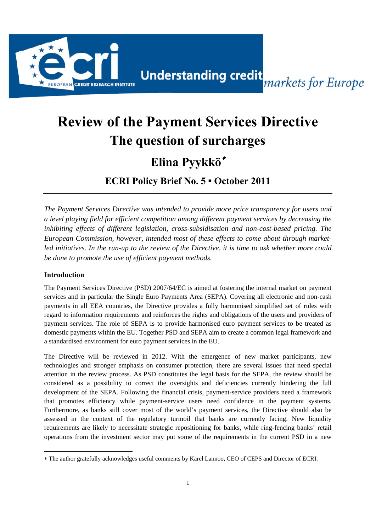

# **Review of the Payment Services Directive The question of surcharges**

## **Elina Pyykkö**<sup>∗</sup>

**ECRI Policy Brief No. 5 ▪ October 2011** 

*The Payment Services Directive was intended to provide more price transparency for users and a level playing field for efficient competition among different payment services by decreasing the inhibiting effects of different legislation, cross-subsidisation and non-cost-based pricing. The European Commission, however, intended most of these effects to come about through marketled initiatives. In the run-up to the review of the Directive, it is time to ask whether more could be done to promote the use of efficient payment methods.* 

#### **Introduction**

The Payment Services Directive (PSD) 2007/64/EC is aimed at fostering the internal market on payment services and in particular the Single Euro Payments Area (SEPA). Covering all electronic and non-cash payments in all EEA countries, the Directive provides a fully harmonised simplified set of rules with regard to information requirements and reinforces the rights and obligations of the users and providers of payment services. The role of SEPA is to provide harmonised euro payment services to be treated as domestic payments within the EU. Together PSD and SEPA aim to create a common legal framework and a standardised environment for euro payment services in the EU.

The Directive will be reviewed in 2012. With the emergence of new market participants, new technologies and stronger emphasis on consumer protection, there are several issues that need special attention in the review process. As PSD constitutes the legal basis for the SEPA, the review should be considered as a possibility to correct the oversights and deficiencies currently hindering the full development of the SEPA. Following the financial crisis, payment-service providers need a framework that promotes efficiency while payment-service users need confidence in the payment systems. Furthermore, as banks still cover most of the world's payment services, the Directive should also be assessed in the context of the regulatory turmoil that banks are currently facing. New liquidity requirements are likely to necessitate strategic repositioning for banks, while ring-fencing banks' retail operations from the investment sector may put some of the requirements in the current PSD in a new

<sup>∗</sup> The author gratefully acknowledges useful comments by Karel Lannoo, CEO of CEPS and Director of ECRI.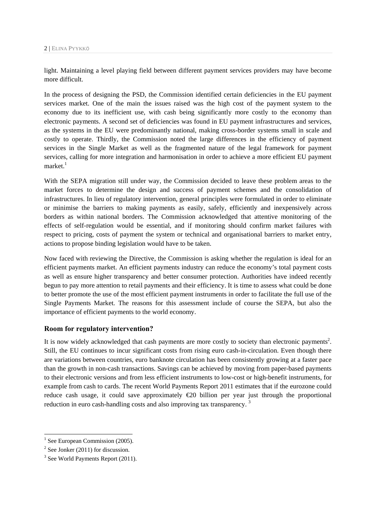light. Maintaining a level playing field between different payment services providers may have become more difficult.

In the process of designing the PSD, the Commission identified certain deficiencies in the EU payment services market. One of the main the issues raised was the high cost of the payment system to the economy due to its inefficient use, with cash being significantly more costly to the economy than electronic payments. A second set of deficiencies was found in EU payment infrastructures and services, as the systems in the EU were predominantly national, making cross-border systems small in scale and costly to operate. Thirdly, the Commission noted the large differences in the efficiency of payment services in the Single Market as well as the fragmented nature of the legal framework for payment services, calling for more integration and harmonisation in order to achieve a more efficient EU payment  $market.<sup>1</sup>$ 

With the SEPA migration still under way, the Commission decided to leave these problem areas to the market forces to determine the design and success of payment schemes and the consolidation of infrastructures. In lieu of regulatory intervention, general principles were formulated in order to eliminate or minimise the barriers to making payments as easily, safely, efficiently and inexpensively across borders as within national borders. The Commission acknowledged that attentive monitoring of the effects of self-regulation would be essential, and if monitoring should confirm market failures with respect to pricing, costs of payment the system or technical and organisational barriers to market entry, actions to propose binding legislation would have to be taken.

Now faced with reviewing the Directive, the Commission is asking whether the regulation is ideal for an efficient payments market. An efficient payments industry can reduce the economy's total payment costs as well as ensure higher transparency and better consumer protection. Authorities have indeed recently begun to pay more attention to retail payments and their efficiency. It is time to assess what could be done to better promote the use of the most efficient payment instruments in order to facilitate the full use of the Single Payments Market. The reasons for this assessment include of course the SEPA, but also the importance of efficient payments to the world economy.

#### **Room for regulatory intervention?**

It is now widely acknowledged that cash payments are more costly to society than electronic payments<sup>2</sup>. Still, the EU continues to incur significant costs from rising euro cash-in-circulation. Even though there are variations between countries, euro banknote circulation has been consistently growing at a faster pace than the growth in non-cash transactions. Savings can be achieved by moving from paper-based payments to their electronic versions and from less efficient instruments to low-cost or high-benefit instruments, for example from cash to cards. The recent World Payments Report 2011 estimates that if the eurozone could reduce cash usage, it could save approximately €20 billion per year just through the proportional reduction in euro cash-handling costs and also improving tax transparency.<sup>3</sup>

<sup>&</sup>lt;sup>1</sup> See European Commission (2005).

 $2$  See Jonker (2011) for discussion.

<sup>&</sup>lt;sup>3</sup> See World Payments Report (2011).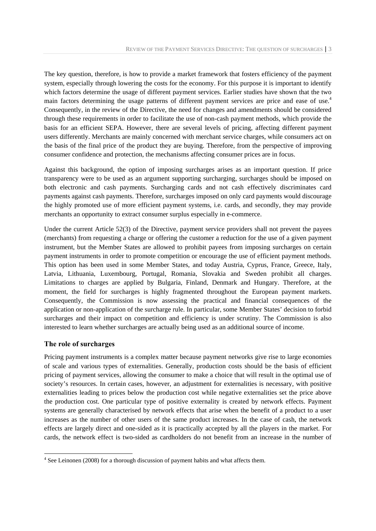The key question, therefore, is how to provide a market framework that fosters efficiency of the payment system, especially through lowering the costs for the economy. For this purpose it is important to identify which factors determine the usage of different payment services. Earlier studies have shown that the two main factors determining the usage patterns of different payment services are price and ease of use.<sup>4</sup> Consequently, in the review of the Directive, the need for changes and amendments should be considered through these requirements in order to facilitate the use of non-cash payment methods, which provide the basis for an efficient SEPA. However, there are several levels of pricing, affecting different payment users differently. Merchants are mainly concerned with merchant service charges, while consumers act on the basis of the final price of the product they are buying. Therefore, from the perspective of improving consumer confidence and protection, the mechanisms affecting consumer prices are in focus.

Against this background, the option of imposing surcharges arises as an important question. If price transparency were to be used as an argument supporting surcharging, surcharges should be imposed on both electronic and cash payments. Surcharging cards and not cash effectively discriminates card payments against cash payments. Therefore, surcharges imposed on only card payments would discourage the highly promoted use of more efficient payment systems, i.e. cards, and secondly, they may provide merchants an opportunity to extract consumer surplus especially in e-commerce.

Under the current Article 52(3) of the Directive, payment service providers shall not prevent the payees (merchants) from requesting a charge or offering the customer a reduction for the use of a given payment instrument, but the Member States are allowed to prohibit payees from imposing surcharges on certain payment instruments in order to promote competition or encourage the use of efficient payment methods. This option has been used in some Member States, and today Austria, Cyprus, France, Greece, Italy, Latvia, Lithuania, Luxembourg, Portugal, Romania, Slovakia and Sweden prohibit all charges. Limitations to charges are applied by Bulgaria, Finland, Denmark and Hungary. Therefore, at the moment, the field for surcharges is highly fragmented throughout the European payment markets. Consequently, the Commission is now assessing the practical and financial consequences of the application or non-application of the surcharge rule. In particular, some Member States' decision to forbid surcharges and their impact on competition and efficiency is under scrutiny. The Commission is also interested to learn whether surcharges are actually being used as an additional source of income.

#### **The role of surcharges**

Pricing payment instruments is a complex matter because payment networks give rise to large economies of scale and various types of externalities. Generally, production costs should be the basis of efficient pricing of payment services, allowing the consumer to make a choice that will result in the optimal use of society's resources. In certain cases, however, an adjustment for externalities is necessary, with positive externalities leading to prices below the production cost while negative externalities set the price above the production cost. One particular type of positive externality is created by network effects. Payment systems are generally characterised by network effects that arise when the benefit of a product to a user increases as the number of other users of the same product increases. In the case of cash, the network effects are largely direct and one-sided as it is practically accepted by all the players in the market. For cards, the network effect is two-sided as cardholders do not benefit from an increase in the number of

 $4$  See Leinonen (2008) for a thorough discussion of payment habits and what affects them.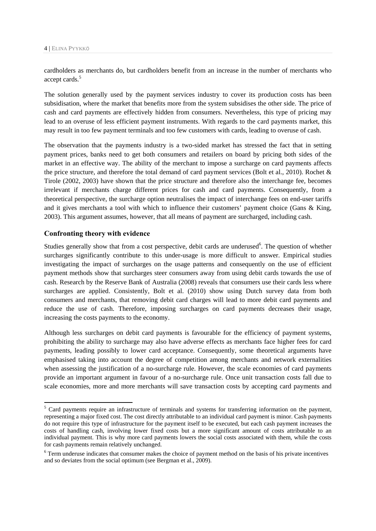cardholders as merchants do, but cardholders benefit from an increase in the number of merchants who accept cards.<sup>5</sup>

The solution generally used by the payment services industry to cover its production costs has been subsidisation, where the market that benefits more from the system subsidises the other side. The price of cash and card payments are effectively hidden from consumers. Nevertheless, this type of pricing may lead to an overuse of less efficient payment instruments. With regards to the card payments market, this may result in too few payment terminals and too few customers with cards, leading to overuse of cash.

The observation that the payments industry is a two-sided market has stressed the fact that in setting payment prices, banks need to get both consumers and retailers on board by pricing both sides of the market in an effective way. The ability of the merchant to impose a surcharge on card payments affects the price structure, and therefore the total demand of card payment services (Bolt et al., 2010). Rochet & Tirole (2002, 2003) have shown that the price structure and therefore also the interchange fee, becomes irrelevant if merchants charge different prices for cash and card payments. Consequently, from a theoretical perspective, the surcharge option neutralises the impact of interchange fees on end-user tariffs and it gives merchants a tool with which to influence their customers' payment choice (Gans & King, 2003). This argument assumes, however, that all means of payment are surcharged, including cash.

#### **Confronting theory with evidence**

Studies generally show that from a cost perspective, debit cards are underused<sup>6</sup>. The question of whether surcharges significantly contribute to this under-usage is more difficult to answer. Empirical studies investigating the impact of surcharges on the usage patterns and consequently on the use of efficient payment methods show that surcharges steer consumers away from using debit cards towards the use of cash. Research by the Reserve Bank of Australia (2008) reveals that consumers use their cards less where surcharges are applied. Consistently, Bolt et al. (2010) show using Dutch survey data from both consumers and merchants, that removing debit card charges will lead to more debit card payments and reduce the use of cash. Therefore, imposing surcharges on card payments decreases their usage, increasing the costs payments to the economy.

Although less surcharges on debit card payments is favourable for the efficiency of payment systems, prohibiting the ability to surcharge may also have adverse effects as merchants face higher fees for card payments, leading possibly to lower card acceptance. Consequently, some theoretical arguments have emphasised taking into account the degree of competition among merchants and network externalities when assessing the justification of a no-surcharge rule. However, the scale economies of card payments provide an important argument in favour of a no-surcharge rule. Once unit transaction costs fall due to scale economies, more and more merchants will save transaction costs by accepting card payments and

<sup>&</sup>lt;sup>5</sup> Card payments require an infrastructure of terminals and systems for transferring information on the payment, representing a major fixed cost. The cost directly attributable to an individual card payment is minor. Cash payments do not require this type of infrastructure for the payment itself to be executed, but each cash payment increases the costs of handling cash, involving lower fixed costs but a more significant amount of costs attributable to an individual payment. This is why more card payments lowers the social costs associated with them, while the costs for cash payments remain relatively unchanged.

<sup>&</sup>lt;sup>6</sup> Term underuse indicates that consumer makes the choice of payment method on the basis of his private incentives and so deviates from the social optimum (see Bergman et al., 2009).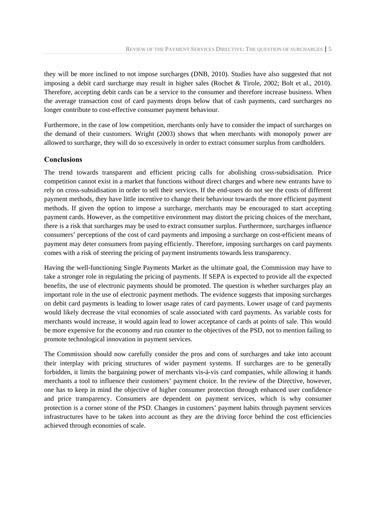they will be more inclined to not impose surcharges (DNB, 2010). Studies have also suggested that not imposing a debit card surcharge may result in higher sales (Rochet & Tirole, 2002; Bolt et al., 2010). Therefore, accepting debit cards can be a service to the consumer and therefore increase business. When the average transaction cost of card payments drops below that of cash payments, card surcharges no longer contribute to cost-effective consumer payment behaviour.

Furthermore, in the case of low competition, merchants only have to consider the impact of surcharges on the demand of their customers. Wright (2003) shows that when merchants with monopoly power are allowed to surcharge, they will do so excessively in order to extract consumer surplus from cardholders.

#### **Conclusions**

The trend towards transparent and efficient pricing calls for abolishing cross-subsidisation. Price competition cannot exist in a market that functions without direct charges and where new entrants have to rely on cross-subsidisation in order to sell their services. If the end-users do not see the costs of different payment methods, they have little incentive to change their behaviour towards the more efficient payment methods. If given the option to impose a surcharge, merchants may be encouraged to start accepting payment cards. However, as the competitive environment may distort the pricing choices of the merchant, there is a risk that surcharges may be used to extract consumer surplus. Furthermore, surcharges influence consumers' perceptions of the cost of card payments and imposing a surcharge on cost-efficient means of payment may deter consumers from paying efficiently. Therefore, imposing surcharges on card payments comes with a risk of steering the pricing of payment instruments towards less transparency.

Having the well-functioning Single Payments Market as the ultimate goal, the Commission may have to take a stronger role in regulating the pricing of payments. If SEPA is expected to provide all the expected benefits, the use of electronic payments should be promoted. The question is whether surcharges play an important role in the use of electronic payment methods. The evidence suggests that imposing surcharges on debit card payments is leading to lower usage rates of card payments. Lower usage of card payments would likely decrease the vital economies of scale associated with card payments. As variable costs for merchants would increase, it would again lead to lower acceptance of cards at points of sale. This would be more expensive for the economy and run counter to the objectives of the PSD, not to mention failing to promote technological innovation in payment services.

The Commission should now carefully consider the pros and cons of surcharges and take into account their interplay with pricing structures of wider payment systems. If surcharges are to be generally forbidden, it limits the bargaining power of merchants vis-á-vis card companies, while allowing it hands merchants a tool to influence their customers' payment choice. In the review of the Directive, however, one has to keep in mind the objective of higher consumer protection through enhanced user confidence and price transparency. Consumers are dependent on payment services, which is why consumer protection is a corner stone of the PSD. Changes in customers' payment habits through payment services infrastructures have to be taken into account as they are the driving force behind the cost efficiencies achieved through economies of scale.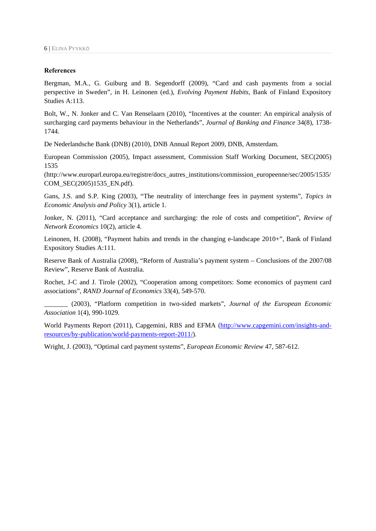#### **References**

Bergman, M.A., G. Guiburg and B. Segendorff (2009), "Card and cash payments from a social perspective in Sweden", in H. Leinonen (ed.), *Evolving Payment Habits*, Bank of Finland Expository Studies A:113.

Bolt, W., N. Jonker and C. Van Renselaarn (2010), "Incentives at the counter: An empirical analysis of surcharging card payments behaviour in the Netherlands", *Journal of Banking and Finance* 34(8), 1738- 1744.

De Nederlandsche Bank (DNB) (2010), DNB Annual Report 2009, DNB, Amsterdam.

European Commission (2005), Impact assessment, Commission Staff Working Document, SEC(2005) 1535

(http://www.europarl.europa.eu/registre/docs\_autres\_institutions/commission\_europeenne/sec/2005/1535/ COM\_SEC(2005)1535\_EN.pdf).

Gans, J.S. and S.P. King (2003), "The neutrality of interchange fees in payment systems", *Topics in Economic Analysis and Policy* 3(1), article 1.

Jonker, N. (2011), "Card acceptance and surcharging: the role of costs and competition", *Review of Network Economics* 10(2), article 4.

Leinonen, H. (2008), "Payment habits and trends in the changing e-landscape 2010+", Bank of Finland Expository Studies A:111.

Reserve Bank of Australia (2008), "Reform of Australia's payment system – Conclusions of the 2007/08 Review", Reserve Bank of Australia.

Rochet, J-C and J. Tirole (2002), "Cooperation among competitors: Some economics of payment card associations", *RAND Journal of Economics* 33(4), 549-570.

\_\_\_\_\_\_\_ (2003), "Platform competition in two-sided markets", *Journal of the European Economic Association* 1(4), 990-1029.

World Payments Report (2011), Capgemini, RBS and EFMA (http://www.capgemini.com/insights-andresources/by-publication/world-payments-report-2011/).

Wright, J. (2003), "Optimal card payment systems", *European Economic Review* 47, 587-612.